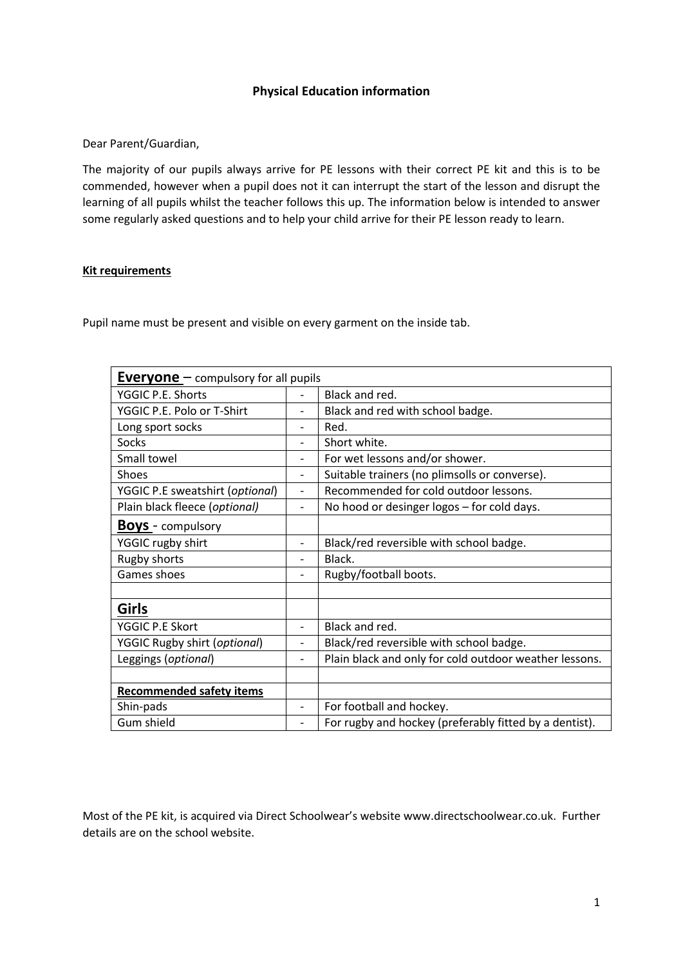# **Physical Education information**

## Dear Parent/Guardian,

The majority of our pupils always arrive for PE lessons with their correct PE kit and this is to be commended, however when a pupil does not it can interrupt the start of the lesson and disrupt the learning of all pupils whilst the teacher follows this up. The information below is intended to answer some regularly asked questions and to help your child arrive for their PE lesson ready to learn.

## **Kit requirements**

Pupil name must be present and visible on every garment on the inside tab.

| <b>Everyone</b> $-$ compulsory for all pupils |                |                                                        |
|-----------------------------------------------|----------------|--------------------------------------------------------|
| YGGIC P.E. Shorts                             |                | Black and red.                                         |
| YGGIC P.E. Polo or T-Shirt                    |                | Black and red with school badge.                       |
| Long sport socks                              |                | Red.                                                   |
| <b>Socks</b>                                  | $\overline{a}$ | Short white.                                           |
| Small towel                                   | $\overline{a}$ | For wet lessons and/or shower.                         |
| <b>Shoes</b>                                  |                | Suitable trainers (no plimsolls or converse).          |
| YGGIC P.E sweatshirt (optional)               | $\overline{a}$ | Recommended for cold outdoor lessons.                  |
| Plain black fleece (optional)                 | $\overline{a}$ | No hood or desinger logos - for cold days.             |
| <b>Boys</b> - compulsory                      |                |                                                        |
| YGGIC rugby shirt                             |                | Black/red reversible with school badge.                |
| Rugby shorts                                  |                | Black.                                                 |
| Games shoes                                   | $\overline{a}$ | Rugby/football boots.                                  |
|                                               |                |                                                        |
| Girls                                         |                |                                                        |
| YGGIC P.E Skort                               | $\overline{a}$ | Black and red.                                         |
| YGGIC Rugby shirt (optional)                  | $\overline{a}$ | Black/red reversible with school badge.                |
| Leggings (optional)                           | $\overline{a}$ | Plain black and only for cold outdoor weather lessons. |
|                                               |                |                                                        |
| <b>Recommended safety items</b>               |                |                                                        |
| Shin-pads                                     | $\overline{a}$ | For football and hockey.                               |
| Gum shield                                    |                | For rugby and hockey (preferably fitted by a dentist). |

Most of the PE kit, is acquired via Direct Schoolwear's website www.directschoolwear.co.uk. Further details are on the school website.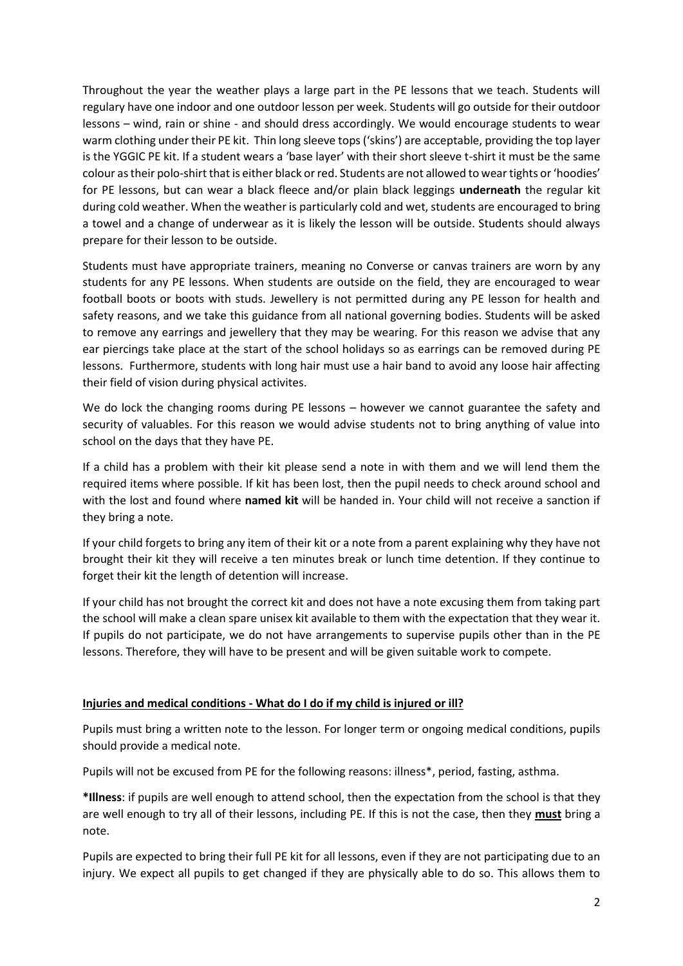Throughout the year the weather plays a large part in the PE lessons that we teach. Students will regulary have one indoor and one outdoor lesson per week. Students will go outside for their outdoor lessons – wind, rain or shine - and should dress accordingly. We would encourage students to wear warm clothing under their PE kit. Thin long sleeve tops ('skins') are acceptable, providing the top layer is the YGGIC PE kit. If a student wears a 'base layer' with their short sleeve t-shirt it must be the same colour as their polo-shirt that is either black or red. Students are not allowed to wear tights or 'hoodies' for PE lessons, but can wear a black fleece and/or plain black leggings **underneath** the regular kit during cold weather. When the weather is particularly cold and wet, students are encouraged to bring a towel and a change of underwear as it is likely the lesson will be outside. Students should always prepare for their lesson to be outside.

Students must have appropriate trainers, meaning no Converse or canvas trainers are worn by any students for any PE lessons. When students are outside on the field, they are encouraged to wear football boots or boots with studs. Jewellery is not permitted during any PE lesson for health and safety reasons, and we take this guidance from all national governing bodies. Students will be asked to remove any earrings and jewellery that they may be wearing. For this reason we advise that any ear piercings take place at the start of the school holidays so as earrings can be removed during PE lessons. Furthermore, students with long hair must use a hair band to avoid any loose hair affecting their field of vision during physical activites.

We do lock the changing rooms during PE lessons – however we cannot guarantee the safety and security of valuables. For this reason we would advise students not to bring anything of value into school on the days that they have PE.

If a child has a problem with their kit please send a note in with them and we will lend them the required items where possible. If kit has been lost, then the pupil needs to check around school and with the lost and found where **named kit** will be handed in. Your child will not receive a sanction if they bring a note.

If your child forgets to bring any item of their kit or a note from a parent explaining why they have not brought their kit they will receive a ten minutes break or lunch time detention. If they continue to forget their kit the length of detention will increase.

If your child has not brought the correct kit and does not have a note excusing them from taking part the school will make a clean spare unisex kit available to them with the expectation that they wear it. If pupils do not participate, we do not have arrangements to supervise pupils other than in the PE lessons. Therefore, they will have to be present and will be given suitable work to compete.

#### **Injuries and medical conditions - What do I do if my child is injured or ill?**

Pupils must bring a written note to the lesson. For longer term or ongoing medical conditions, pupils should provide a medical note.

Pupils will not be excused from PE for the following reasons: illness\*, period, fasting, asthma.

**\*Illness**: if pupils are well enough to attend school, then the expectation from the school is that they are well enough to try all of their lessons, including PE. If this is not the case, then they **must** bring a note.

Pupils are expected to bring their full PE kit for all lessons, even if they are not participating due to an injury. We expect all pupils to get changed if they are physically able to do so. This allows them to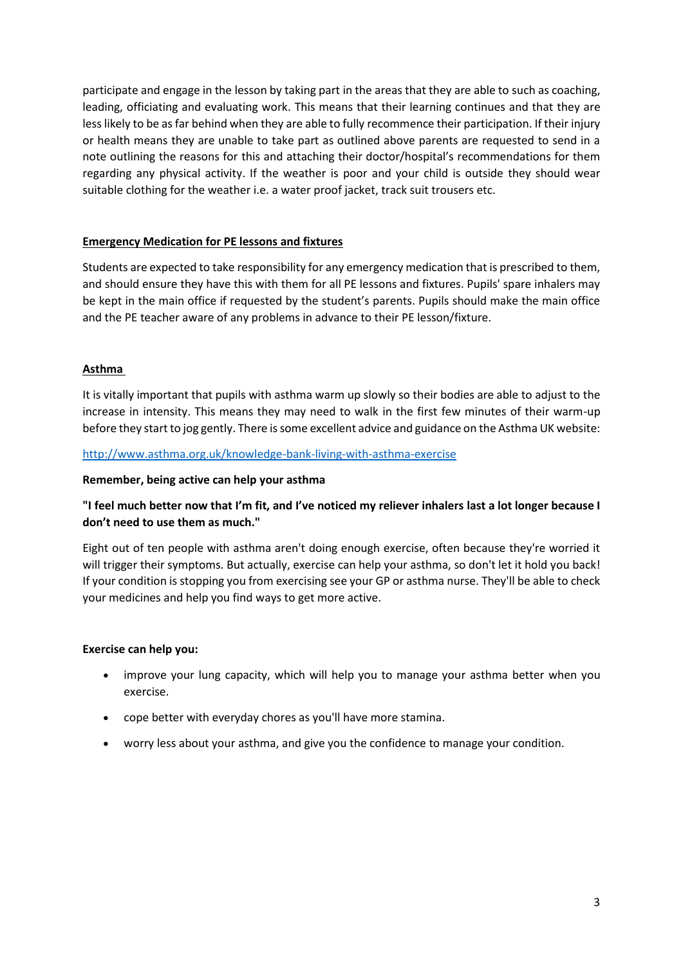participate and engage in the lesson by taking part in the areas that they are able to such as coaching, leading, officiating and evaluating work. This means that their learning continues and that they are less likely to be as far behind when they are able to fully recommence their participation. If their injury or health means they are unable to take part as outlined above parents are requested to send in a note outlining the reasons for this and attaching their doctor/hospital's recommendations for them regarding any physical activity. If the weather is poor and your child is outside they should wear suitable clothing for the weather i.e. a water proof jacket, track suit trousers etc.

## **Emergency Medication for PE lessons and fixtures**

Students are expected to take responsibility for any emergency medication that is prescribed to them, and should ensure they have this with them for all PE lessons and fixtures. Pupils' spare inhalers may be kept in the main office if requested by the student's parents. Pupils should make the main office and the PE teacher aware of any problems in advance to their PE lesson/fixture.

## **Asthma**

It is vitally important that pupils with asthma warm up slowly so their bodies are able to adjust to the increase in intensity. This means they may need to walk in the first few minutes of their warm-up before they start to jog gently. There is some excellent advice and guidance on the Asthma UK website:

#### <http://www.asthma.org.uk/knowledge-bank-living-with-asthma-exercise>

#### **Remember, being active can help your asthma**

# **"I feel much better now that I'm fit, and I've noticed my reliever inhalers last a lot longer because I don't need to use them as much."**

Eight out of ten people with asthma aren't doing enough exercise, often because they're worried it will trigger their symptoms. But actually, exercise can help your asthma, so don't let it hold you back! If your condition is stopping you from exercising see your GP or asthma nurse. They'll be able to check your medicines and help you find ways to get more active.

#### **Exercise can help you:**

- improve your lung capacity, which will help you to manage your asthma better when you exercise.
- cope better with everyday chores as you'll have more stamina.
- worry less about your asthma, and give you the confidence to manage your condition.